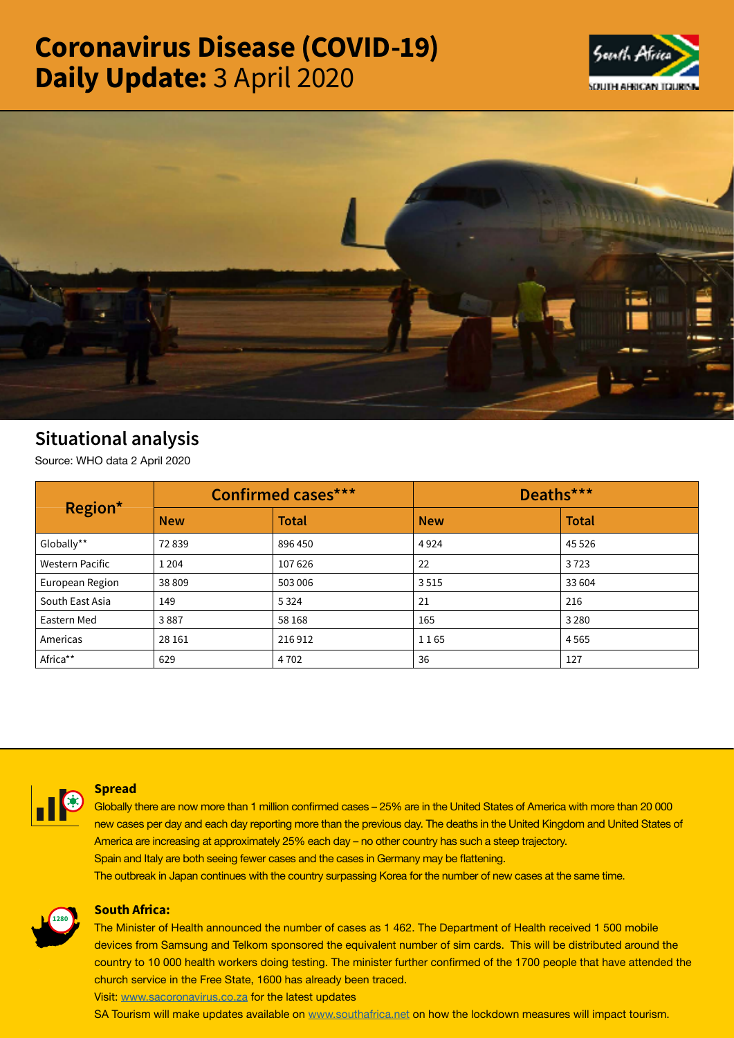# Coronavirus Disease (COVID-19) Daily Update: 3 April 2020





# Situational analysis

Source: WHO data 2 April 2020

| Region*                | <b>Confirmed cases***</b> |              | Deaths***  |              |
|------------------------|---------------------------|--------------|------------|--------------|
|                        | <b>New</b>                | <b>Total</b> | <b>New</b> | <b>Total</b> |
| Globally**             | 72839                     | 896 450      | 4924       | 45 5 26      |
| <b>Western Pacific</b> | 1 2 0 4                   | 107626       | 22         | 3723         |
| European Region        | 38 809                    | 503 006      | 3515       | 33 604       |
| South East Asia        | 149                       | 5 3 2 4      | 21         | 216          |
| Eastern Med            | 3887                      | 58 168       | 165        | 3 2 8 0      |
| Americas               | 28 16 1                   | 216912       | 1165       | 4565         |
| Africa**               | 629                       | 4 7 0 2      | 36         | 127          |



### **Spread**

**Globally there are now more than 1 million confirmed cases – 25% are in the United States of America with more than 20 000 new cases per day and each day reporting more than the previous day. The deaths in the United Kingdom and United States of America are increasing at approximately 25% each day – no other country has such a steep trajectory. Spain and Italy are both seeing fewer cases and the cases in Germany may be flattening. The outbreak in Japan continues with the country surpassing Korea for the number of new cases at the same time.**



# South Africa:

The Minister of Health announced the number of cases as 1 462. The Department of Health received 1 500 mobile devices from Samsung and Telkom sponsored the equivalent number of sim cards. This will be distributed around the country to 10 000 health workers doing testing. The minister further confirmed of the 1700 people that have attended the church service in the Free State, 1600 has already been traced.

Visit: [www.sacoronavirus.co.za](http://www.sacoronavirus.co.za) for the latest updates

SA Tourism will make updates available on [www.southafrica.net](http://www.southafrica.net) on how the lockdown measures will impact tourism.